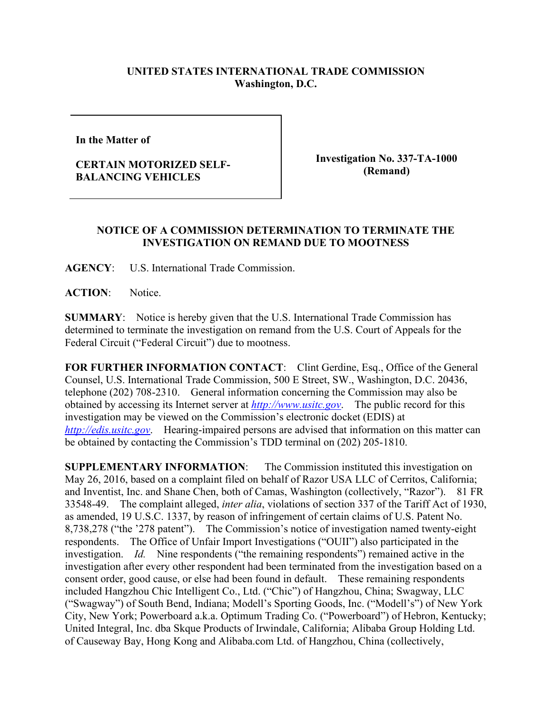## **UNITED STATES INTERNATIONAL TRADE COMMISSION Washington, D.C.**

**In the Matter of** 

## **CERTAIN MOTORIZED SELF-BALANCING VEHICLES**

**Investigation No. 337-TA-1000 (Remand)**

## **NOTICE OF A COMMISSION DETERMINATION TO TERMINATE THE INVESTIGATION ON REMAND DUE TO MOOTNESS**

**AGENCY**: U.S. International Trade Commission.

**ACTION**: Notice.

**SUMMARY**: Notice is hereby given that the U.S. International Trade Commission has determined to terminate the investigation on remand from the U.S. Court of Appeals for the Federal Circuit ("Federal Circuit") due to mootness.

**FOR FURTHER INFORMATION CONTACT**: Clint Gerdine, Esq., Office of the General Counsel, U.S. International Trade Commission, 500 E Street, SW., Washington, D.C. 20436, telephone (202) 708-2310. General information concerning the Commission may also be obtained by accessing its Internet server at *[http://www.usitc.gov](http://www.usitc.gov/)*. The public record for this investigation may be viewed on the Commission's electronic docket (EDIS) at *[http://edis.usitc.gov](http://edis.usitc.gov/)*. Hearing-impaired persons are advised that information on this matter can be obtained by contacting the Commission's TDD terminal on (202) 205-1810.

**SUPPLEMENTARY INFORMATION**: The Commission instituted this investigation on May 26, 2016, based on a complaint filed on behalf of Razor USA LLC of Cerritos, California; and Inventist, Inc. and Shane Chen, both of Camas, Washington (collectively, "Razor"). 81 FR 33548-49. The complaint alleged, *inter alia*, violations of section 337 of the Tariff Act of 1930, as amended, 19 U.S.C. 1337, by reason of infringement of certain claims of U.S. Patent No. 8,738,278 ("the '278 patent"). The Commission's notice of investigation named twenty-eight respondents. The Office of Unfair Import Investigations ("OUII") also participated in the investigation. *Id.* Nine respondents ("the remaining respondents") remained active in the investigation after every other respondent had been terminated from the investigation based on a consent order, good cause, or else had been found in default. These remaining respondents included Hangzhou Chic Intelligent Co., Ltd. ("Chic") of Hangzhou, China; Swagway, LLC ("Swagway") of South Bend, Indiana; Modell's Sporting Goods, Inc. ("Modell's") of New York City, New York; Powerboard a.k.a. Optimum Trading Co. ("Powerboard") of Hebron, Kentucky; United Integral, Inc. dba Skque Products of Irwindale, California; Alibaba Group Holding Ltd. of Causeway Bay, Hong Kong and Alibaba.com Ltd. of Hangzhou, China (collectively,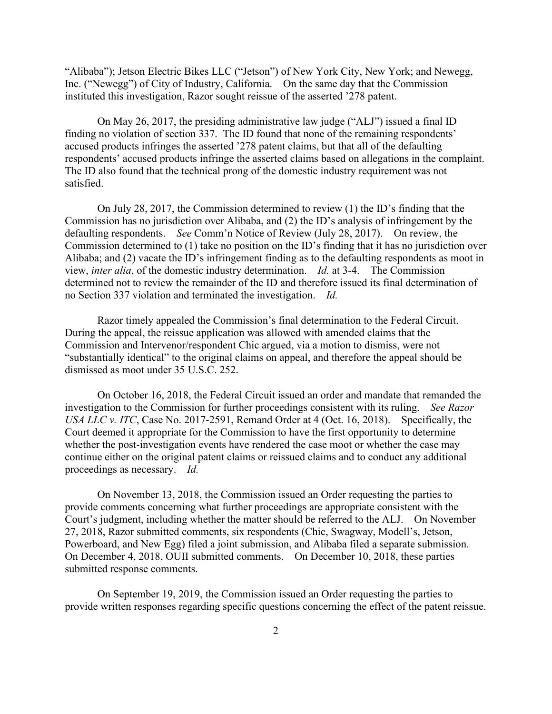"Alibaba"); Jetson Electric Bikes LLC ("Jetson") of New York City, New York; and Newegg, Inc. ("Newegg") of City of Industry, California. On the same day that the Commission instituted this investigation, Razor sought reissue of the asserted '278 patent.

On May 26, 2017, the presiding administrative law judge ("ALJ") issued a final ID finding no violation of section 337. The ID found that none of the remaining respondents' accused products infringes the asserted '278 patent claims, but that all of the defaulting respondents' accused products infringe the asserted claims based on allegations in the complaint. The ID also found that the technical prong of the domestic industry requirement was not satisfied.

On July 28, 2017, the Commission determined to review (1) the ID's finding that the Commission has no jurisdiction over Alibaba, and (2) the ID's analysis of infringement by the defaulting respondents. *See* Comm'n Notice of Review (July 28, 2017). On review, the Commission determined to (1) take no position on the ID's finding that it has no jurisdiction over Alibaba; and (2) vacate the ID's infringement finding as to the defaulting respondents as moot in view, *inter alia*, of the domestic industry determination. *Id.* at 3-4. The Commission determined not to review the remainder of the ID and therefore issued its final determination of no Section 337 violation and terminated the investigation.*Id.*

Razor timely appealed the Commission's final determination to the Federal Circuit. During the appeal, the reissue application was allowed with amended claims that the Commission and Intervenor/respondent Chic argued, via a motion to dismiss, were not "substantially identical" to the original claims on appeal, and therefore the appeal should be dismissed as moot under 35 U.S.C. 252.

On October 16, 2018, the Federal Circuit issued an order and mandate that remanded the investigation to the Commission for further proceedings consistent with its ruling. *See Razor USA LLC v. ITC*, Case No. 2017-2591, Remand Order at 4 (Oct. 16, 2018). Specifically, the Court deemed it appropriate for the Commission to have the first opportunity to determine whether the post-investigation events have rendered the case moot or whether the case may continue either on the original patent claims or reissued claims and to conduct any additional proceedings as necessary. *Id.* 

On November 13, 2018, the Commission issued an Order requesting the parties to provide comments concerning what further proceedings are appropriate consistent with the Court's judgment, including whether the matter should be referred to the ALJ. On November 27, 2018, Razor submitted comments, six respondents (Chic, Swagway, Modell's, Jetson, Powerboard, and New Egg) filed a joint submission, and Alibaba filed a separate submission. On December 4, 2018, OUII submitted comments. On December 10, 2018, these parties submitted response comments.

On September 19, 2019, the Commission issued an Order requesting the parties to provide written responses regarding specific questions concerning the effect of the patent reissue.